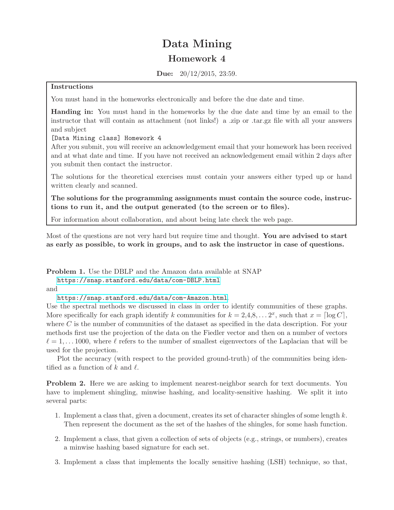## Data Mining Homework 4

Due: 20/12/2015, 23:59.

## Instructions

You must hand in the homeworks electronically and before the due date and time.

Handing in: You must hand in the homeworks by the due date and time by an email to the instructor that will contain as attachment (not links!) a .zip or .tar.gz file with all your answers and subject

[Data Mining class] Homework 4

After you submit, you will receive an acknowledgement email that your homework has been received and at what date and time. If you have not received an acknowledgement email within 2 days after you submit then contact the instructor.

The solutions for the theoretical exercises must contain your answers either typed up or hand written clearly and scanned.

The solutions for the programming assignments must contain the source code, instructions to run it, and the output generated (to the screen or to files).

For information about collaboration, and about being late check the web page.

Most of the questions are not very hard but require time and thought. You are advised to start as early as possible, to work in groups, and to ask the instructor in case of questions.

Problem 1. Use the DBLP and the Amazon data available at SNAP

<https://snap.stanford.edu/data/com-DBLP.html>

and

<https://snap.stanford.edu/data/com-Amazon.html>.

Use the spectral methods we discussed in class in order to identify communities of these graphs. More specifically for each graph identify k communities for  $k = 2, 4, 8, \ldots, 2^x$ , such that  $x = \lceil \log C \rceil$ , where  $C$  is the number of communities of the dataset as specified in the data description. For your methods first use the projection of the data on the Fiedler vector and then on a number of vectors  $\ell = 1, \ldots 1000$ , where  $\ell$  refers to the number of smallest eigenvectors of the Laplacian that will be used for the projection.

Plot the accuracy (with respect to the provided ground-truth) of the communities being identified as a function of k and  $\ell$ .

Problem 2. Here we are asking to implement nearest-neighbor search for text documents. You have to implement shingling, minwise hashing, and locality-sensitive hashing. We split it into several parts:

- 1. Implement a class that, given a document, creates its set of character shingles of some length  $k$ . Then represent the document as the set of the hashes of the shingles, for some hash function.
- 2. Implement a class, that given a collection of sets of objects (e.g., strings, or numbers), creates a minwise hashing based signature for each set.
- 3. Implement a class that implements the locally sensitive hashing (LSH) technique, so that,